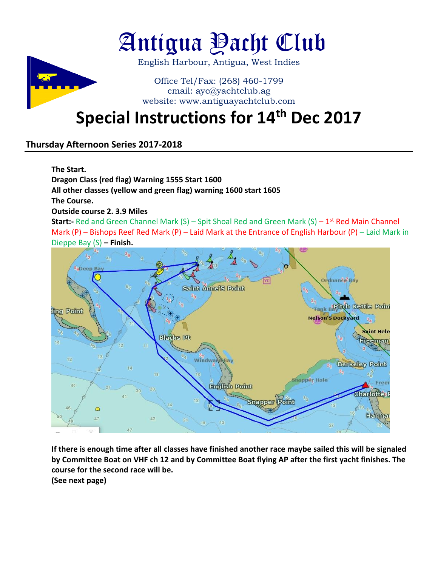

# Antigua Yacht Club

English Harbour, Antigua, West Indies

### Office Tel/Fax: (268) 460-1799 email: ayc@yachtclub.ag website: www.antiguayachtclub.com

## **Special Instructions for 14th Dec 2017**

### **Thursday Afternoon Series 2017-2018**

**The Start.**

**Dragon Class (red flag) Warning 1555 Start 1600**

**All other classes (yellow and green flag) warning 1600 start 1605**

**The Course.**

**Outside course 2. 3.9 Miles**

**Start:** Red and Green Channel Mark (S) – Spit Shoal Red and Green Mark (S) – 1<sup>st</sup> Red Main Channel Mark (P) – Bishops Reef Red Mark (P) – Laid Mark at the Entrance of English Harbour (P) – Laid Mark in Dieppe Bay (S) **– Finish.**



**If there is enough time after all classes have finished another race maybe sailed this will be signaled by Committee Boat on VHF ch 12 and by Committee Boat flying AP after the first yacht finishes. The course for the second race will be.**

**(See next page)**